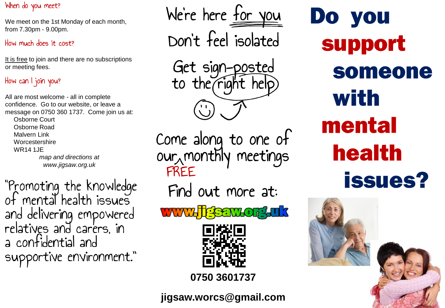### When do you meet?

We meet on the 1st Monday of each month, from 7.30pm - 9.00pm.

### How much does it cost?

It is free to join and there are no subscriptions or meeting fees.

# How can I join you?

All are most welcome - all in complete confidence. Go to our website, or leave a message on 0750 360 1737. Come join us at: Osborne Court Osborne Road Malvern Link **Worcestershire** WR14 1JE *map and directions at www.jigsaw.org.uk*

"Promoting the knowledge"<br>of mental health issues and delivering empowered<br>relatives and carers, in a confidential and supportive environment."

We're here for you Don't feel isolated Get sign-posted to the right help Come along to one of our $_\lambda$ monthly meetings FREEFind out more at: **WWW.TESENY.OFF.uk** 



**0750 3601737**

**jigsaw.worcs@gmail.com**

Do you support someone with mental **health issues?**